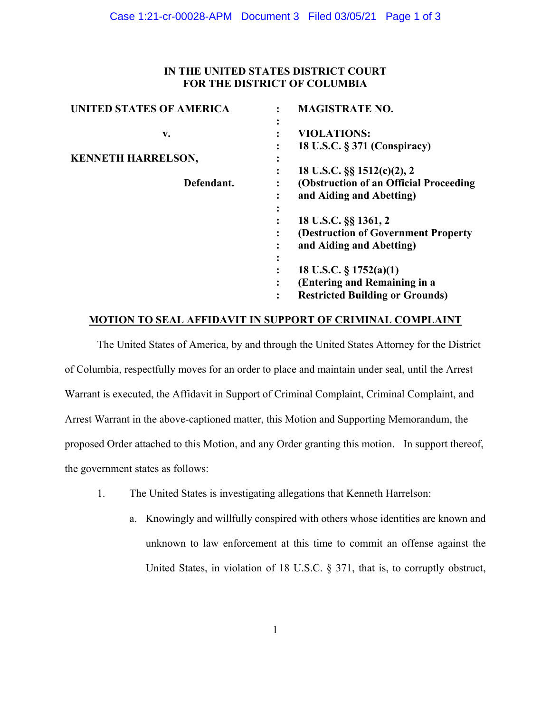# **IN THE UNITED STATES DISTRICT COURT FOR THE DISTRICT OF COLUMBIA**

| <b>UNITED STATES OF AMERICA</b> | <b>MAGISTRATE NO.</b><br>٠                          |
|---------------------------------|-----------------------------------------------------|
| v.                              | <b>VIOLATIONS:</b>                                  |
|                                 | 18 U.S.C. § 371 (Conspiracy)                        |
| <b>KENNETH HARRELSON,</b>       | ٠                                                   |
|                                 | 18 U.S.C. §§ 1512(c)(2), 2<br>٠                     |
| Defendant.                      | (Obstruction of an Official Proceeding)             |
|                                 | and Aiding and Abetting)<br>٠                       |
|                                 | ٠                                                   |
|                                 | 18 U.S.C. §§ 1361, 2                                |
|                                 | (Destruction of Government Property)                |
|                                 | and Aiding and Abetting)                            |
|                                 | ٠<br>$\bullet$                                      |
|                                 | 18 U.S.C. $\S 1752(a)(1)$                           |
|                                 | (Entering and Remaining in a<br>$\bullet$           |
|                                 | <b>Restricted Building or Grounds)</b><br>$\bullet$ |
|                                 |                                                     |

### **MOTION TO SEAL AFFIDAVIT IN SUPPORT OF CRIMINAL COMPLAINT**

The United States of America, by and through the United States Attorney for the District of Columbia, respectfully moves for an order to place and maintain under seal, until the Arrest Warrant is executed, the Affidavit in Support of Criminal Complaint, Criminal Complaint, and Arrest Warrant in the above-captioned matter, this Motion and Supporting Memorandum, the proposed Order attached to this Motion, and any Order granting this motion. In support thereof, the government states as follows:

- 1. The United States is investigating allegations that Kenneth Harrelson:
	- a. Knowingly and willfully conspired with others whose identities are known and unknown to law enforcement at this time to commit an offense against the United States, in violation of 18 U.S.C. § 371, that is, to corruptly obstruct,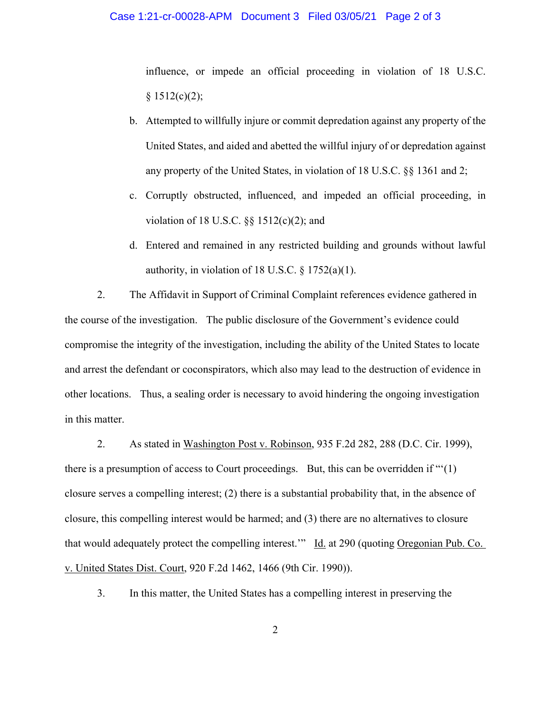### Case 1:21-cr-00028-APM Document 3 Filed 03/05/21 Page 2 of 3

influence, or impede an official proceeding in violation of 18 U.S.C.  $§ 1512(c)(2);$ 

- b. Attempted to willfully injure or commit depredation against any property of the United States, and aided and abetted the willful injury of or depredation against any property of the United States, in violation of 18 U.S.C. §§ 1361 and 2;
- c. Corruptly obstructed, influenced, and impeded an official proceeding, in violation of 18 U.S.C.  $\S$ § 1512(c)(2); and
- d. Entered and remained in any restricted building and grounds without lawful authority, in violation of 18 U.S.C. § 1752(a)(1).

2. The Affidavit in Support of Criminal Complaint references evidence gathered in the course of the investigation. The public disclosure of the Government's evidence could compromise the integrity of the investigation, including the ability of the United States to locate and arrest the defendant or coconspirators, which also may lead to the destruction of evidence in other locations. Thus, a sealing order is necessary to avoid hindering the ongoing investigation in this matter.

 2. As stated in Washington Post v. Robinson, 935 F.2d 282, 288 (D.C. Cir. 1999), there is a presumption of access to Court proceedings. But, this can be overridden if "'(1) closure serves a compelling interest; (2) there is a substantial probability that, in the absence of closure, this compelling interest would be harmed; and (3) there are no alternatives to closure that would adequately protect the compelling interest." Id. at 290 (quoting Oregonian Pub. Co. v. United States Dist. Court, 920 F.2d 1462, 1466 (9th Cir. 1990)).

3. In this matter, the United States has a compelling interest in preserving the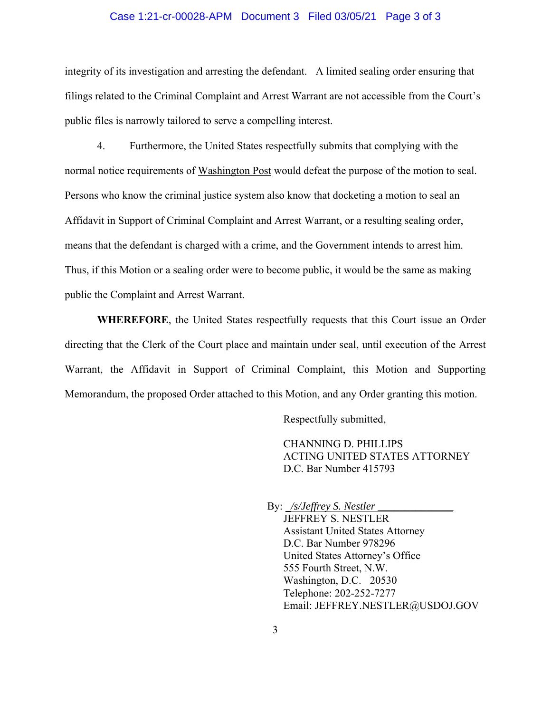### Case 1:21-cr-00028-APM Document 3 Filed 03/05/21 Page 3 of 3

integrity of its investigation and arresting the defendant. A limited sealing order ensuring that filings related to the Criminal Complaint and Arrest Warrant are not accessible from the Court's public files is narrowly tailored to serve a compelling interest.

 4. Furthermore, the United States respectfully submits that complying with the normal notice requirements of Washington Post would defeat the purpose of the motion to seal. Persons who know the criminal justice system also know that docketing a motion to seal an Affidavit in Support of Criminal Complaint and Arrest Warrant, or a resulting sealing order, means that the defendant is charged with a crime, and the Government intends to arrest him. Thus, if this Motion or a sealing order were to become public, it would be the same as making public the Complaint and Arrest Warrant.

**WHEREFORE**, the United States respectfully requests that this Court issue an Order directing that the Clerk of the Court place and maintain under seal, until execution of the Arrest Warrant, the Affidavit in Support of Criminal Complaint, this Motion and Supporting Memorandum, the proposed Order attached to this Motion, and any Order granting this motion.

Respectfully submitted,

 CHANNING D. PHILLIPS ACTING UNITED STATES ATTORNEY D.C. Bar Number 415793

 By: \_*/s/Jeffrey S. Nestler \_\_\_\_\_\_\_\_\_\_\_\_\_\_* JEFFREY S. NESTLER Assistant United States Attorney D.C. Bar Number 978296 United States Attorney's Office 555 Fourth Street, N.W. Washington, D.C. 20530 Telephone: 202-252-7277 Email: JEFFREY.NESTLER@USDOJ.GOV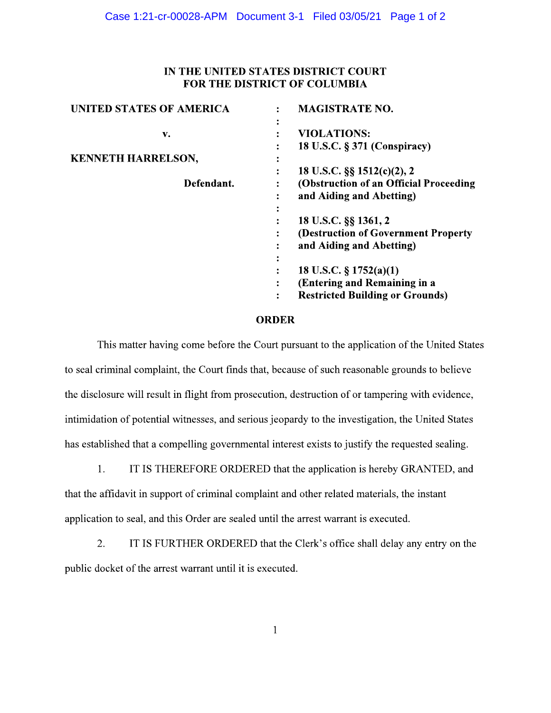# IN THE UNITED STATES DISTRICT COURT FOR THE DISTRICT OF COLUMBIA

| <b>UNITED STATES OF AMERICA</b> | <b>MAGISTRATE NO.</b>                       |
|---------------------------------|---------------------------------------------|
| v.                              | ٠<br><b>VIOLATIONS:</b>                     |
|                                 | 18 U.S.C. § 371 (Conspiracy)                |
| <b>KENNETH HARRELSON,</b>       | ٠                                           |
|                                 | 18 U.S.C. §§ 1512(c)(2), 2<br>٠             |
| Defendant.                      | (Obstruction of an Official Proceeding      |
|                                 | and Aiding and Abetting)<br>٠               |
|                                 | $\bullet$                                   |
|                                 | 18 U.S.C. §§ 1361, 2                        |
|                                 | (Destruction of Government Property)        |
|                                 | and Aiding and Abetting)                    |
|                                 | ٠                                           |
|                                 | 18 U.S.C. $\S 1752(a)(1)$                   |
|                                 | (Entering and Remaining in a                |
|                                 | <b>Restricted Building or Grounds)</b><br>٠ |
|                                 |                                             |

### **ORDER**

This matter having come before the Court pursuant to the application of the United States to seal criminal complaint, the Court finds that, because of such reasonable grounds to believe the disclosure will result in flight from prosecution, destruction of or tampering with evidence, intimidation of potential witnesses, and serious jeopardy to the investigation, the United States has established that a compelling governmental interest exists to justify the requested sealing.

 $1.$ IT IS THEREFORE ORDERED that the application is hereby GRANTED, and that the affidavit in support of criminal complaint and other related materials, the instant application to seal, and this Order are sealed until the arrest warrant is executed.

 $2.$ IT IS FURTHER ORDERED that the Clerk's office shall delay any entry on the public docket of the arrest warrant until it is executed.